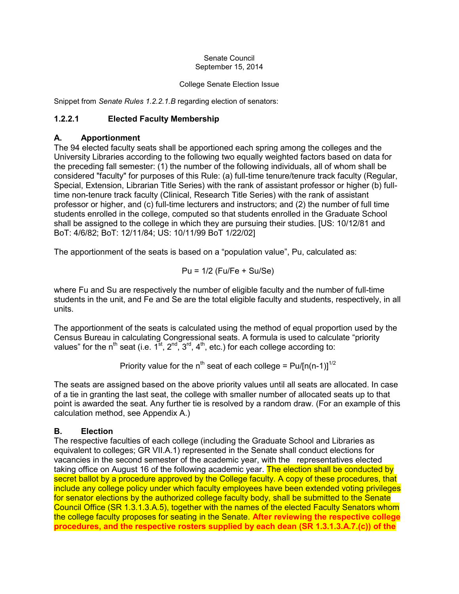#### Senate Council September 15, 2014

#### College Senate Election Issue

Snippet from *Senate Rules 1.2.2.1.B* regarding election of senators:

# **1.2.2.1 Elected Faculty Membership**

## **A. Apportionment**

The 94 elected faculty seats shall be apportioned each spring among the colleges and the University Libraries according to the following two equally weighted factors based on data for the preceding fall semester: (1) the number of the following individuals, all of whom shall be considered "faculty" for purposes of this Rule: (a) full-time tenure/tenure track faculty (Regular, Special, Extension, Librarian Title Series) with the rank of assistant professor or higher (b) fulltime non-tenure track faculty (Clinical, Research Title Series) with the rank of assistant professor or higher, and (c) full-time lecturers and instructors; and (2) the number of full time students enrolled in the college, computed so that students enrolled in the Graduate School shall be assigned to the college in which they are pursuing their studies. [US: 10/12/81 and BoT: 4/6/82; BoT: 12/11/84; US: 10/11/99 BoT 1/22/02]

The apportionment of the seats is based on a "population value", Pu, calculated as:

$$
Pu = 1/2 (Fu/Fe + Su/Se)
$$

where Fu and Su are respectively the number of eligible faculty and the number of full-time students in the unit, and Fe and Se are the total eligible faculty and students, respectively, in all units.

The apportionment of the seats is calculated using the method of equal proportion used by the Census Bureau in calculating Congressional seats. A formula is used to calculate "priority values" for the n<sup>th</sup> seat (i.e.  $1^{st}$ ,  $2^{nd}$ ,  $3^{rd}$ ,  $4^{th}$ , etc.) for each college according to:

Priority value for the n<sup>th</sup> seat of each college =  $Pu/[n(n-1)]^{1/2}$ 

The seats are assigned based on the above priority values until all seats are allocated. In case of a tie in granting the last seat, the college with smaller number of allocated seats up to that point is awarded the seat. Any further tie is resolved by a random draw. (For an example of this calculation method, see Appendix A.)

## **B. Election**

The respective faculties of each college (including the Graduate School and Libraries as equivalent to colleges; GR VII.A.1) represented in the Senate shall conduct elections for vacancies in the second semester of the academic year, with the representatives elected taking office on August 16 of the following academic year. The election shall be conducted by secret ballot by a procedure approved by the College faculty. A copy of these procedures, that include any college policy under which faculty employees have been extended voting privileges for senator elections by the authorized college faculty body, shall be submitted to the Senate Council Office (SR 1.3.1.3.A.5), together with the names of the elected Faculty Senators whom the college faculty proposes for seating in the Senate. **After reviewing the respective college procedures, and the respective rosters supplied by each dean (SR 1.3.1.3.A.7.(c)) of the**